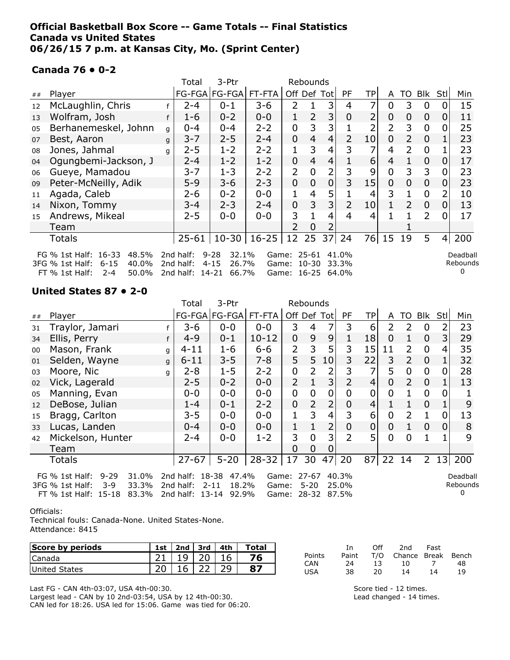## **Official Basketball Box Score -- Game Totals -- Final Statistics Canada vs United States 06/26/15 7 p.m. at Kansas City, Mo. (Sprint Center)**

## **Canada 76 • 0-2**

|    |                                                                                                                      |   | Total                                     | 3-Ptr                                           |                 |                   | Rebounds           |                |                |    |                |                |                |                |                      |
|----|----------------------------------------------------------------------------------------------------------------------|---|-------------------------------------------|-------------------------------------------------|-----------------|-------------------|--------------------|----------------|----------------|----|----------------|----------------|----------------|----------------|----------------------|
| ## | Player                                                                                                               |   |                                           | FG-FGA FG-FGA FT-FTA                            |                 |                   |                    | Off Def Tot    | PF             | TP | A              | TO             | Blk            | Stl            | Min                  |
| 12 | McLaughlin, Chris                                                                                                    |   | $2 - 4$                                   | $0 - 1$                                         | $3 - 6$         | $\overline{2}$    |                    | 3              | 4              | 7  | 0              | 3              | $\overline{0}$ |                | 15                   |
| 13 | Wolfram, Josh                                                                                                        | f | $1 - 6$                                   | $0 - 2$                                         | $0 - 0$         | $\mathbf 1$       | $\overline{2}$     | 3              | $\mathbf 0$    | 2  | $\mathbf 0$    | 0              | $\mathbf 0$    | 0              | 11                   |
| 05 | Berhanemeskel, Johnn                                                                                                 | q | $0 - 4$                                   | $0 - 4$                                         | $2 - 2$         | 0                 | 3                  | 3              |                | 2  | 2              | 3              | $\overline{0}$ | 0              | 25                   |
| 07 | Best, Aaron                                                                                                          | q | $3 - 7$                                   | $2 - 5$                                         | $2 - 4$         | $\overline{0}$    | $\overline{4}$     | $\overline{4}$ | $\overline{2}$ | 10 | $\mathbf 0$    | $\mathcal{L}$  | $\overline{0}$ |                | 23                   |
| 08 | Jones, Jahmal                                                                                                        | q | $2 - 5$                                   | $1 - 2$                                         | $2 - 2$         | 1                 | 3                  | 4              | 3              | 7  | 4              | $\mathcal{P}$  | $\overline{0}$ |                | 23                   |
| 04 | Ogungbemi-Jackson, J                                                                                                 |   | $2 - 4$                                   | $1 - 2$                                         | $1 - 2$         | $\overline{0}$    | $\overline{4}$     | $\overline{4}$ |                | 6  | $\overline{4}$ |                | $\overline{0}$ | $\Omega$       | 17                   |
| 06 | Gueye, Mamadou                                                                                                       |   | 3-7                                       | $1 - 3$                                         | $2 - 2$         | $\overline{2}$    | $\overline{0}$     | 2              | 3              | 9  | $\overline{0}$ | 3              | 3              | 0              | 23                   |
| 09 | Peter-McNeilly, Adik                                                                                                 |   | $5 - 9$                                   | $3 - 6$                                         | $2 - 3$         | 0                 | $\overline{0}$     | $\mathbf 0$    | 3              | 15 | $\mathbf 0$    | $\overline{0}$ | $\mathbf 0$    | 0              | 23                   |
| 11 | Agada, Caleb                                                                                                         |   | $2 - 6$                                   | $0 - 2$                                         | $0 - 0$         | 1                 | 4                  | 5              |                | 4  | 3              | 1              | $\overline{0}$ | 2              | 10                   |
| 14 | Nixon, Tommy                                                                                                         |   | $3 - 4$                                   | $2 - 3$                                         | $2 - 4$         | 0                 | 3                  | $\overline{3}$ | $\overline{2}$ | 10 |                | 2              | $\mathbf 0$    | $\overline{0}$ | 13                   |
| 15 | Andrews, Mikeal                                                                                                      |   | $2 - 5$                                   | $0 - 0$                                         | $0 - 0$         | 3                 |                    | 4              | 4              | 4  |                |                | $\overline{2}$ |                | 17                   |
|    | Team                                                                                                                 |   |                                           |                                                 |                 |                   | 0                  |                |                |    |                |                |                |                |                      |
|    | <b>Totals</b>                                                                                                        |   | $25 - 61$                                 |                                                 | $10-30$   16-25 | 12                | 25                 | 37             | 24             | 76 | 15             | 19             | 5              | 4              | 200                  |
|    | $16 - 33$<br>FG $%$ 1st Half:<br>48.5%<br>$6 - 15$<br>40.0%<br>3FG % 1st Half:<br>FT % 1st Half:<br>$2 - 4$<br>50.0% |   | 2nd half:<br>2nd half:<br>2nd half: 14-21 | $9 - 28$<br>32.1%<br>$4 - 15$<br>26.7%<br>66.7% | Game:<br>Game:  | Game: 16-25 64.0% | 25-61<br>$10 - 30$ |                | 41.0%<br>33.3% |    |                |                |                |                | Deadball<br>Rebounds |

## **United States 87 • 2-0**

| Blk<br>Stl<br>Min                             |
|-----------------------------------------------|
| 23<br>2                                       |
| 29<br>3                                       |
| 35<br>4                                       |
| 32<br>1                                       |
| 28<br>$\overline{0}$                          |
| 13                                            |
| 0                                             |
| 9                                             |
| 13<br>0                                       |
| 8<br>$\mathbf 0$                              |
| 9                                             |
|                                               |
| 200<br>13                                     |
| Deadball<br>Rebounds                          |
| $\mathbf 0$<br>$\mathbf{1}$<br>$\overline{2}$ |

#### Officials:

Technical fouls: Canada-None. United States-None. Attendance: 8415

| Score by periods | 1st | $2nd \mid 3rd$ | 4th | Total |
|------------------|-----|----------------|-----|-------|
| ICanada          |     |                |     |       |
| United States    |     |                |     |       |

Last FG - CAN 4th-03:07, USA 4th-00:30. Largest lead - CAN by 10 2nd-03:54, USA by 12 4th-00:30.

CAN led for 18:26. USA led for 15:06. Game was tied for 06:20.

|        | Тn    | Off. | 2nd                    | Fast |    |
|--------|-------|------|------------------------|------|----|
| Points | Paint |      | T/O Chance Break Bench |      |    |
| CAN    | 24    | 13.  | 10                     |      | 48 |
| USA    | 38    | 20   | 14                     | 14   | 19 |

Score tied - 12 times. Lead changed - 14 times.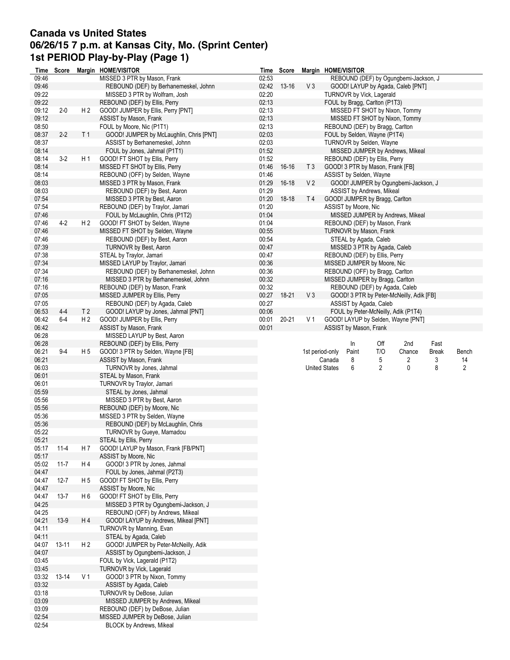# **Canada vs United States 06/26/15 7 p.m. at Kansas City, Mo. (Sprint Center) 1st PERIOD Play-by-Play (Page 1)**

|                | Time Score |                | Margin HOME/VISITOR                                                  |                | Time Score  |                 |                      | Margin HOME/VISITOR    |                                  |                                          |              |       |
|----------------|------------|----------------|----------------------------------------------------------------------|----------------|-------------|-----------------|----------------------|------------------------|----------------------------------|------------------------------------------|--------------|-------|
| 09:46          |            |                | MISSED 3 PTR by Mason, Frank                                         | 02:53          |             |                 |                      |                        |                                  | REBOUND (DEF) by Ogungbemi-Jackson, J    |              |       |
| 09:46          |            |                | REBOUND (DEF) by Berhanemeskel, Johnn                                |                | 02:42 13-16 | V3              |                      |                        |                                  | GOOD! LAYUP by Agada, Caleb [PNT]        |              |       |
| 09:22          |            |                | MISSED 3 PTR by Wolfram, Josh                                        | 02:20          |             |                 |                      |                        | TURNOVR by Vick, Lagerald        |                                          |              |       |
| 09:22          |            |                | REBOUND (DEF) by Ellis, Perry                                        | 02:13          |             |                 |                      |                        | FOUL by Bragg, Carlton (P1T3)    |                                          |              |       |
| 09:12          | $2 - 0$    | H <sub>2</sub> | GOOD! JUMPER by Ellis, Perry [PNT]                                   | 02:13          |             |                 |                      |                        |                                  | MISSED FT SHOT by Nixon, Tommy           |              |       |
| 09:12          |            |                | ASSIST by Mason, Frank                                               | 02:13          |             |                 |                      |                        |                                  | MISSED FT SHOT by Nixon, Tommy           |              |       |
| 08:50          |            |                | FOUL by Moore, Nic (P1T1)                                            | 02:13          |             |                 |                      |                        | REBOUND (DEF) by Bragg, Carlton  |                                          |              |       |
| 08:37          | $2-2$      | T 1            | GOOD! JUMPER by McLaughlin, Chris [PNT]                              | 02:03          |             |                 |                      |                        | FOUL by Selden, Wayne (P1T4)     |                                          |              |       |
| 08:37          |            |                | ASSIST by Berhanemeskel, Johnn                                       | 02:03          |             |                 |                      |                        | <b>TURNOVR by Selden, Wayne</b>  |                                          |              |       |
| 08:14          |            |                | FOUL by Jones, Jahmal (P1T1)                                         | 01:52          |             |                 |                      |                        |                                  | MISSED JUMPER by Andrews, Mikeal         |              |       |
| 08:14          | $3-2$      | H 1            | GOOD! FT SHOT by Ellis, Perry                                        | 01:52          |             |                 |                      |                        | REBOUND (DEF) by Ellis, Perry    |                                          |              |       |
| 08:14          |            |                | MISSED FT SHOT by Ellis, Perry                                       | 01:46          | $16 - 16$   | T <sub>3</sub>  |                      |                        | GOOD! 3 PTR by Mason, Frank [FB] |                                          |              |       |
| 08:14          |            |                | REBOUND (OFF) by Selden, Wayne                                       | 01:46          |             |                 |                      |                        | ASSIST by Selden, Wayne          |                                          |              |       |
| 08:03          |            |                | MISSED 3 PTR by Mason, Frank                                         | 01:29          | $16 - 18$   | V <sub>2</sub>  |                      |                        |                                  | GOOD! JUMPER by Ogungbemi-Jackson, J     |              |       |
| 08:03<br>07:54 |            |                | REBOUND (DEF) by Best, Aaron                                         | 01:29          |             |                 |                      |                        | ASSIST by Andrews, Mikeal        |                                          |              |       |
|                |            |                | MISSED 3 PTR by Best, Aaron                                          | 01:20          | $18-18$     | T 4             |                      |                        | GOOD! JUMPER by Bragg, Carlton   |                                          |              |       |
| 07:54<br>07:46 |            |                | REBOUND (DEF) by Traylor, Jamari<br>FOUL by McLaughlin, Chris (P1T2) | 01:20<br>01:04 |             |                 |                      | ASSIST by Moore, Nic   |                                  |                                          |              |       |
| 07:46          | $4 - 2$    | H <sub>2</sub> | GOOD! FT SHOT by Selden, Wayne                                       | 01:04          |             |                 |                      |                        | REBOUND (DEF) by Mason, Frank    | MISSED JUMPER by Andrews, Mikeal         |              |       |
| 07:46          |            |                | MISSED FT SHOT by Selden, Wayne                                      | 00:55          |             |                 |                      |                        | TURNOVR by Mason, Frank          |                                          |              |       |
| 07:46          |            |                | REBOUND (DEF) by Best, Aaron                                         | 00:54          |             |                 |                      |                        | STEAL by Agada, Caleb            |                                          |              |       |
| 07:39          |            |                | <b>TURNOVR by Best, Aaron</b>                                        | 00:47          |             |                 |                      |                        | MISSED 3 PTR by Agada, Caleb     |                                          |              |       |
| 07:38          |            |                | STEAL by Traylor, Jamari                                             | 00:47          |             |                 |                      |                        | REBOUND (DEF) by Ellis, Perry    |                                          |              |       |
| 07:34          |            |                | MISSED LAYUP by Traylor, Jamari                                      | 00:36          |             |                 |                      |                        | MISSED JUMPER by Moore, Nic      |                                          |              |       |
| 07:34          |            |                | REBOUND (DEF) by Berhanemeskel, Johnn                                | 00:36          |             |                 |                      |                        | REBOUND (OFF) by Bragg, Carlton  |                                          |              |       |
| 07:16          |            |                | MISSED 3 PTR by Berhanemeskel, Johnn                                 | 00:32          |             |                 |                      |                        | MISSED JUMPER by Bragg, Carlton  |                                          |              |       |
| 07:16          |            |                | REBOUND (DEF) by Mason, Frank                                        | 00:32          |             |                 |                      |                        | REBOUND (DEF) by Agada, Caleb    |                                          |              |       |
| 07:05          |            |                | MISSED JUMPER by Ellis, Perry                                        | 00:27          | 18-21       | V3              |                      |                        |                                  | GOOD! 3 PTR by Peter-McNeilly, Adik [FB] |              |       |
| 07:05          |            |                | REBOUND (DEF) by Agada, Caleb                                        | 00:27          |             |                 |                      |                        | ASSIST by Agada, Caleb           |                                          |              |       |
| 06:53          | $4 - 4$    | T <sub>2</sub> | GOOD! LAYUP by Jones, Jahmal [PNT]                                   | 00:06          |             |                 |                      |                        |                                  | FOUL by Peter-McNeilly, Adik (P1T4)      |              |       |
| 06:42          | $6-4$      | H <sub>2</sub> | GOOD! JUMPER by Ellis, Perry                                         | 00:01          | $20 - 21$   | V 1             |                      |                        |                                  | GOOD! LAYUP by Selden, Wayne [PNT]       |              |       |
| 06:42          |            |                | ASSIST by Mason, Frank                                               | 00:01          |             |                 |                      | ASSIST by Mason, Frank |                                  |                                          |              |       |
| 06:28          |            |                | MISSED LAYUP by Best, Aaron                                          |                |             |                 |                      |                        |                                  |                                          |              |       |
| 06:28          |            |                | REBOUND (DEF) by Ellis, Perry                                        |                |             |                 |                      | In                     | Off                              | 2nd                                      | Fast         |       |
| 06:21          | $9-4$      | H 5            | GOOD! 3 PTR by Selden, Wayne [FB]                                    |                |             | 1st period-only |                      | Paint                  | T/O                              | Chance                                   | <b>Break</b> | Bench |
| 06:21          |            |                | ASSIST by Mason, Frank                                               |                |             |                 | Canada               | 8                      | 5                                | 2                                        | 3            | 14    |
| 06:03<br>06:01 |            |                | TURNOVR by Jones, Jahmal                                             |                |             |                 | <b>United States</b> | 6                      | 2                                | 0                                        | 8            | 2     |
| 06:01          |            |                | STEAL by Mason, Frank<br>TURNOVR by Traylor, Jamari                  |                |             |                 |                      |                        |                                  |                                          |              |       |
| 05:59          |            |                | STEAL by Jones, Jahmal                                               |                |             |                 |                      |                        |                                  |                                          |              |       |
| 05:56          |            |                | MISSED 3 PTR by Best, Aaron                                          |                |             |                 |                      |                        |                                  |                                          |              |       |
| 05:56          |            |                | REBOUND (DEF) by Moore, Nic                                          |                |             |                 |                      |                        |                                  |                                          |              |       |
| 05:36          |            |                | MISSED 3 PTR by Selden, Wayne                                        |                |             |                 |                      |                        |                                  |                                          |              |       |
| 05:36          |            |                | REBOUND (DEF) by McLaughlin, Chris                                   |                |             |                 |                      |                        |                                  |                                          |              |       |
| 05:22          |            |                | <b>TURNOVR by Gueye, Mamadou</b>                                     |                |             |                 |                      |                        |                                  |                                          |              |       |
| 05:21          |            |                | STEAL by Ellis, Perry                                                |                |             |                 |                      |                        |                                  |                                          |              |       |
| 05:17          | $11 - 4$   | H 7            | GOOD! LAYUP by Mason, Frank [FB/PNT]                                 |                |             |                 |                      |                        |                                  |                                          |              |       |
| 05:17          |            |                | ASSIST by Moore, Nic                                                 |                |             |                 |                      |                        |                                  |                                          |              |       |
| 05:02          | $11 - 7$   | H 4            | GOOD! 3 PTR by Jones, Jahmal                                         |                |             |                 |                      |                        |                                  |                                          |              |       |
| 04:47          |            |                | FOUL by Jones, Jahmal (P2T3)                                         |                |             |                 |                      |                        |                                  |                                          |              |       |
| 04:47<br>04:47 | $12 - 7$   | H 5            | GOOD! FT SHOT by Ellis, Perry<br>ASSIST by Moore, Nic                |                |             |                 |                      |                        |                                  |                                          |              |       |
| 04:47          | $13 - 7$   | H 6            | GOOD! FT SHOT by Ellis, Perry                                        |                |             |                 |                      |                        |                                  |                                          |              |       |
| 04:25          |            |                | MISSED 3 PTR by Ogungbemi-Jackson, J                                 |                |             |                 |                      |                        |                                  |                                          |              |       |
| 04:25          |            |                | REBOUND (OFF) by Andrews, Mikeal                                     |                |             |                 |                      |                        |                                  |                                          |              |       |
| 04:21          | $13-9$     | H4             | GOOD! LAYUP by Andrews, Mikeal [PNT]                                 |                |             |                 |                      |                        |                                  |                                          |              |       |
| 04:11          |            |                | <b>TURNOVR by Manning, Evan</b>                                      |                |             |                 |                      |                        |                                  |                                          |              |       |
| 04:11          |            |                | STEAL by Agada, Caleb                                                |                |             |                 |                      |                        |                                  |                                          |              |       |
| 04:07          | 13-11      | H <sub>2</sub> | GOOD! JUMPER by Peter-McNeilly, Adik                                 |                |             |                 |                      |                        |                                  |                                          |              |       |
| 04:07          |            |                | ASSIST by Ogungbemi-Jackson, J                                       |                |             |                 |                      |                        |                                  |                                          |              |       |
| 03:45          |            |                | FOUL by Vick, Lagerald (P1T2)                                        |                |             |                 |                      |                        |                                  |                                          |              |       |
| 03:45          |            |                | TURNOVR by Vick, Lagerald                                            |                |             |                 |                      |                        |                                  |                                          |              |       |
| 03:32          | $13 - 14$  | V <sub>1</sub> | GOOD! 3 PTR by Nixon, Tommy                                          |                |             |                 |                      |                        |                                  |                                          |              |       |
| 03:32          |            |                | ASSIST by Agada, Caleb                                               |                |             |                 |                      |                        |                                  |                                          |              |       |
| 03:18          |            |                | TURNOVR by DeBose, Julian                                            |                |             |                 |                      |                        |                                  |                                          |              |       |
| 03:09<br>03:09 |            |                | MISSED JUMPER by Andrews, Mikeal<br>REBOUND (DEF) by DeBose, Julian  |                |             |                 |                      |                        |                                  |                                          |              |       |
| 02:54          |            |                | MISSED JUMPER by DeBose, Julian                                      |                |             |                 |                      |                        |                                  |                                          |              |       |
| 02:54          |            |                | <b>BLOCK by Andrews, Mikeal</b>                                      |                |             |                 |                      |                        |                                  |                                          |              |       |
|                |            |                |                                                                      |                |             |                 |                      |                        |                                  |                                          |              |       |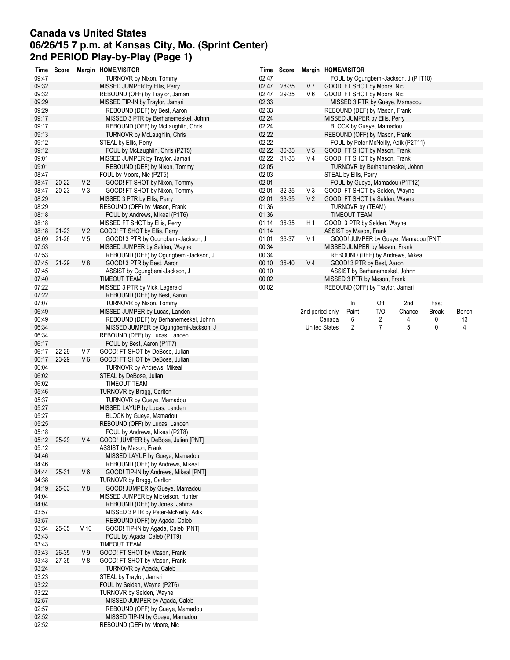# **Canada vs United States 06/26/15 7 p.m. at Kansas City, Mo. (Sprint Center) 2nd PERIOD Play-by-Play (Page 1)**

| Time  | Score |                | Margin HOME/VISITOR                   | Time  | Score     |                 | Margin HOME/VISITOR                           |
|-------|-------|----------------|---------------------------------------|-------|-----------|-----------------|-----------------------------------------------|
| 09:47 |       |                | TURNOVR by Nixon, Tommy               | 02:47 |           |                 | FOUL by Ogungbemi-Jackson, J (P1T10)          |
| 09:32 |       |                | MISSED JUMPER by Ellis, Perry         | 02:47 | 28-35     | V 7             | GOOD! FT SHOT by Moore, Nic                   |
| 09:32 |       |                | REBOUND (OFF) by Traylor, Jamari      | 02:47 | 29-35     | $V_6$           | GOOD! FT SHOT by Moore, Nic                   |
| 09:29 |       |                | MISSED TIP-IN by Traylor, Jamari      | 02:33 |           |                 | MISSED 3 PTR by Gueye, Mamadou                |
| 09:29 |       |                | REBOUND (DEF) by Best, Aaron          | 02:33 |           |                 | REBOUND (DEF) by Mason, Frank                 |
| 09:17 |       |                | MISSED 3 PTR by Berhanemeskel, Johnn  | 02:24 |           |                 | MISSED JUMPER by Ellis, Perry                 |
| 09:17 |       |                | REBOUND (OFF) by McLaughlin, Chris    | 02:24 |           |                 | BLOCK by Gueye, Mamadou                       |
| 09:13 |       |                | TURNOVR by McLaughlin, Chris          | 02:22 |           |                 | REBOUND (OFF) by Mason, Frank                 |
| 09:12 |       |                | STEAL by Ellis, Perry                 | 02:22 |           |                 | FOUL by Peter-McNeilly, Adik (P2T11)          |
| 09:12 |       |                | FOUL by McLaughlin, Chris (P2T5)      | 02:22 | 30-35     | V <sub>5</sub>  | GOOD! FT SHOT by Mason, Frank                 |
| 09:01 |       |                | MISSED JUMPER by Traylor, Jamari      | 02:22 | $31 - 35$ | V 4             | GOOD! FT SHOT by Mason, Frank                 |
| 09:01 |       |                | REBOUND (DEF) by Nixon, Tommy         | 02:05 |           |                 | TURNOVR by Berhanemeskel, Johnn               |
| 08:47 |       |                | FOUL by Moore, Nic (P2T5)             | 02:03 |           |                 | STEAL by Ellis, Perry                         |
| 08:47 | 20-22 | V <sub>2</sub> | GOOD! FT SHOT by Nixon, Tommy         | 02:01 |           |                 | FOUL by Gueye, Mamadou (P1T12)                |
| 08:47 | 20-23 | V3             | GOOD! FT SHOT by Nixon, Tommy         | 02:01 | 32-35     | V <sub>3</sub>  | GOOD! FT SHOT by Selden, Wayne                |
| 08:29 |       |                | MISSED 3 PTR by Ellis, Perry          | 02:01 | 33-35     | V <sub>2</sub>  | GOOD! FT SHOT by Selden, Wayne                |
| 08:29 |       |                | REBOUND (OFF) by Mason, Frank         | 01:36 |           |                 | TURNOVR by (TEAM)                             |
| 08:18 |       |                |                                       | 01:36 |           |                 | <b>TIMEOUT TEAM</b>                           |
|       |       |                | FOUL by Andrews, Mikeal (P1T6)        |       |           |                 |                                               |
| 08:18 |       |                | MISSED FT SHOT by Ellis, Perry        | 01:14 | 36-35     | H <sub>1</sub>  | GOOD! 3 PTR by Selden, Wayne                  |
| 08:18 | 21-23 | V <sub>2</sub> | GOOD! FT SHOT by Ellis, Perry         | 01:14 |           |                 | ASSIST by Mason, Frank                        |
| 08:09 | 21-26 | V 5            | GOOD! 3 PTR by Ogungbemi-Jackson, J   | 01:01 | 36-37     | V <sub>1</sub>  | GOOD! JUMPER by Gueye, Mamadou [PNT]          |
| 07:53 |       |                | MISSED JUMPER by Selden, Wayne        | 00:34 |           |                 | MISSED JUMPER by Mason, Frank                 |
| 07:53 |       |                | REBOUND (DEF) by Ogungbemi-Jackson, J | 00:34 |           |                 | REBOUND (DEF) by Andrews, Mikeal              |
| 07:45 | 21-29 | V8             | GOOD! 3 PTR by Best, Aaron            | 00:10 | 36-40     | V <sub>4</sub>  | GOOD! 3 PTR by Best, Aaron                    |
| 07:45 |       |                | ASSIST by Ogungbemi-Jackson, J        | 00:10 |           |                 | ASSIST by Berhanemeskel, Johnn                |
| 07:40 |       |                | TIMEOUT TEAM                          | 00:02 |           |                 | MISSED 3 PTR by Mason, Frank                  |
| 07:22 |       |                | MISSED 3 PTR by Vick, Lagerald        | 00:02 |           |                 | REBOUND (OFF) by Traylor, Jamari              |
| 07:22 |       |                | REBOUND (DEF) by Best, Aaron          |       |           |                 |                                               |
| 07:07 |       |                | TURNOVR by Nixon, Tommy               |       |           |                 | Off<br>2nd<br>Fast<br>In                      |
| 06:49 |       |                | MISSED JUMPER by Lucas, Landen        |       |           | 2nd period-only | T/O<br>Chance<br>Paint<br>Break<br>Bench      |
| 06:49 |       |                | REBOUND (DEF) by Berhanemeskel, Johnn |       |           |                 | Canada<br>6<br>2<br>0<br>13<br>4              |
| 06:34 |       |                | MISSED JUMPER by Ogungbemi-Jackson, J |       |           |                 | 5<br>4<br><b>United States</b><br>2<br>7<br>0 |
| 06:34 |       |                | REBOUND (DEF) by Lucas, Landen        |       |           |                 |                                               |
| 06:17 |       |                | FOUL by Best, Aaron (P1T7)            |       |           |                 |                                               |
| 06:17 | 22-29 | V 7            | GOOD! FT SHOT by DeBose, Julian       |       |           |                 |                                               |
| 06:17 | 23-29 | $V_6$          | GOOD! FT SHOT by DeBose, Julian       |       |           |                 |                                               |
| 06:04 |       |                | <b>TURNOVR by Andrews, Mikeal</b>     |       |           |                 |                                               |
| 06:02 |       |                | STEAL by DeBose, Julian               |       |           |                 |                                               |
| 06:02 |       |                | TIMEOUT TEAM                          |       |           |                 |                                               |
| 05:46 |       |                | TURNOVR by Bragg, Carlton             |       |           |                 |                                               |
| 05:37 |       |                | TURNOVR by Gueye, Mamadou             |       |           |                 |                                               |
| 05:27 |       |                | MISSED LAYUP by Lucas, Landen         |       |           |                 |                                               |
|       |       |                |                                       |       |           |                 |                                               |
| 05:27 |       |                | BLOCK by Gueye, Mamadou               |       |           |                 |                                               |
| 05:25 |       |                | REBOUND (OFF) by Lucas, Landen        |       |           |                 |                                               |
| 05:18 |       |                | FOUL by Andrews, Mikeal (P2T8)        |       |           |                 |                                               |
| 05:12 | 25-29 | V 4            | GOOD! JUMPER by DeBose, Julian [PNT]  |       |           |                 |                                               |
| 05:12 |       |                | ASSIST by Mason, Frank                |       |           |                 |                                               |
| 04:46 |       |                | MISSED LAYUP by Gueye, Mamadou        |       |           |                 |                                               |
| 04:46 |       |                | REBOUND (OFF) by Andrews, Mikeal      |       |           |                 |                                               |
| 04:44 | 25-31 | V6             | GOOD! TIP-IN by Andrews, Mikeal [PNT] |       |           |                 |                                               |
| 04:38 |       |                | TURNOVR by Bragg, Carlton             |       |           |                 |                                               |
| 04:19 | 25-33 | V8             | GOOD! JUMPER by Gueye, Mamadou        |       |           |                 |                                               |
| 04:04 |       |                | MISSED JUMPER by Mickelson, Hunter    |       |           |                 |                                               |
| 04:04 |       |                | REBOUND (DEF) by Jones, Jahmal        |       |           |                 |                                               |
| 03:57 |       |                | MISSED 3 PTR by Peter-McNeilly, Adik  |       |           |                 |                                               |
| 03:57 |       |                | REBOUND (OFF) by Agada, Caleb         |       |           |                 |                                               |
| 03:54 | 25-35 | $V$ 10         | GOOD! TIP-IN by Agada, Caleb [PNT]    |       |           |                 |                                               |
| 03:43 |       |                | FOUL by Agada, Caleb (P1T9)           |       |           |                 |                                               |
| 03:43 |       |                | TIMEOUT TEAM                          |       |           |                 |                                               |
| 03:43 | 26-35 | V9             | GOOD! FT SHOT by Mason, Frank         |       |           |                 |                                               |
| 03:43 | 27-35 | V8             | GOOD! FT SHOT by Mason, Frank         |       |           |                 |                                               |
| 03:24 |       |                | TURNOVR by Agada, Caleb               |       |           |                 |                                               |
| 03:23 |       |                | STEAL by Traylor, Jamari              |       |           |                 |                                               |
|       |       |                |                                       |       |           |                 |                                               |
| 03:22 |       |                | FOUL by Selden, Wayne (P2T6)          |       |           |                 |                                               |
| 03:22 |       |                | <b>TURNOVR by Selden, Wayne</b>       |       |           |                 |                                               |
| 02:57 |       |                | MISSED JUMPER by Agada, Caleb         |       |           |                 |                                               |
| 02:57 |       |                | REBOUND (OFF) by Gueye, Mamadou       |       |           |                 |                                               |
| 02:52 |       |                | MISSED TIP-IN by Gueye, Mamadou       |       |           |                 |                                               |
| 02:52 |       |                | REBOUND (DEF) by Moore, Nic           |       |           |                 |                                               |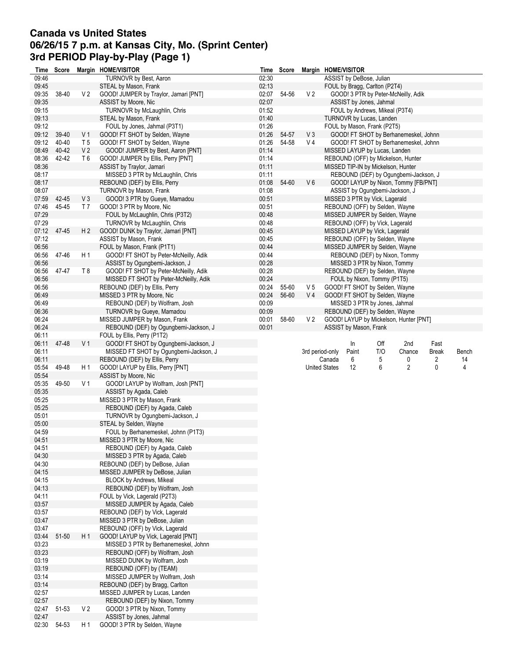# **Canada vs United States 06/26/15 7 p.m. at Kansas City, Mo. (Sprint Center) 3rd PERIOD Play-by-Play (Page 1)**

|                | Time Score |                | Margin HOME/VISITOR                                      |                | Time Score |                 |                      | Margin HOME/VISITOR      |                                    |                                                                               |              |       |
|----------------|------------|----------------|----------------------------------------------------------|----------------|------------|-----------------|----------------------|--------------------------|------------------------------------|-------------------------------------------------------------------------------|--------------|-------|
| 09:46          |            |                | TURNOVR by Best, Aaron                                   | 02:30          |            |                 |                      | ASSIST by DeBose, Julian |                                    |                                                                               |              |       |
| 09:45          |            |                | STEAL by Mason, Frank                                    | 02:13          |            |                 |                      |                          | FOUL by Bragg, Carlton (P2T4)      |                                                                               |              |       |
| 09:35          | 38-40      | V <sub>2</sub> | GOOD! JUMPER by Traylor, Jamari [PNT]                    | 02:07          | 54-56      | V <sub>2</sub>  |                      |                          |                                    | GOOD! 3 PTR by Peter-McNeilly, Adik                                           |              |       |
| 09:35          |            |                | ASSIST by Moore, Nic                                     | 02:07          |            |                 |                      |                          | ASSIST by Jones, Jahmal            |                                                                               |              |       |
| 09:15          |            |                | TURNOVR by McLaughlin, Chris                             | 01:52          |            |                 |                      |                          | FOUL by Andrews, Mikeal (P3T4)     |                                                                               |              |       |
| 09:13          |            |                | STEAL by Mason, Frank                                    | 01:40          |            |                 |                      |                          | TURNOVR by Lucas, Landen           |                                                                               |              |       |
| 09:12          |            |                | FOUL by Jones, Jahmal (P3T1)                             | 01:26          |            |                 |                      |                          | FOUL by Mason, Frank (P2T5)        |                                                                               |              |       |
| 09:12          | 39-40      | V <sub>1</sub> | GOOD! FT SHOT by Selden, Wayne                           | 01:26          | 54-57      | V <sub>3</sub>  |                      |                          |                                    | GOOD! FT SHOT by Berhanemeskel, Johnn                                         |              |       |
| 09:12          | 40-40      | T <sub>5</sub> | GOOD! FT SHOT by Selden, Wayne                           | 01:26          | 54-58      | V 4             |                      |                          |                                    | GOOD! FT SHOT by Berhanemeskel, Johnn                                         |              |       |
| 08:49          | 40-42      | V <sub>2</sub> | GOOD! JUMPER by Best, Aaron [PNT]                        | 01:14          |            |                 |                      |                          | MISSED LAYUP by Lucas, Landen      |                                                                               |              |       |
| 08:36          | 42-42      | T6             | GOOD! JUMPER by Ellis, Perry [PNT]                       | 01:14          |            |                 |                      |                          |                                    | REBOUND (OFF) by Mickelson, Hunter                                            |              |       |
| 08:36          |            |                | ASSIST by Traylor, Jamari                                | 01:11          |            |                 |                      |                          | MISSED TIP-IN by Mickelson, Hunter |                                                                               |              |       |
| 08:17<br>08:17 |            |                | MISSED 3 PTR by McLaughlin, Chris                        | 01:11          | 54-60      | $V_6$           |                      |                          |                                    | REBOUND (DEF) by Ogungbemi-Jackson, J<br>GOOD! LAYUP by Nixon, Tommy [FB/PNT] |              |       |
| 08:07          |            |                | REBOUND (DEF) by Ellis, Perry<br>TURNOVR by Mason, Frank | 01:08<br>01:08 |            |                 |                      |                          | ASSIST by Ogungbemi-Jackson, J     |                                                                               |              |       |
| 07:59          | 42-45      | V3             | GOOD! 3 PTR by Gueye, Mamadou                            | 00:51          |            |                 |                      |                          | MISSED 3 PTR by Vick, Lagerald     |                                                                               |              |       |
| 07:46          | 45-45      | T 7            | GOOD! 3 PTR by Moore, Nic                                | 00:51          |            |                 |                      |                          | REBOUND (OFF) by Selden, Wayne     |                                                                               |              |       |
| 07:29          |            |                | FOUL by McLaughlin, Chris (P3T2)                         | 00:48          |            |                 |                      |                          | MISSED JUMPER by Selden, Wayne     |                                                                               |              |       |
| 07:29          |            |                | TURNOVR by McLaughlin, Chris                             | 00:48          |            |                 |                      |                          | REBOUND (OFF) by Vick, Lagerald    |                                                                               |              |       |
| 07:12          | 47-45      | H 2            | GOOD! DUNK by Traylor, Jamari [PNT]                      | 00:45          |            |                 |                      |                          | MISSED LAYUP by Vick, Lagerald     |                                                                               |              |       |
| 07:12          |            |                | ASSIST by Mason, Frank                                   | 00:45          |            |                 |                      |                          | REBOUND (OFF) by Selden, Wayne     |                                                                               |              |       |
| 06:56          |            |                | FOUL by Mason, Frank (P1T1)                              | 00:44          |            |                 |                      |                          | MISSED JUMPER by Selden, Wayne     |                                                                               |              |       |
| 06:56          | 47-46      | H1             | GOOD! FT SHOT by Peter-McNeilly, Adik                    | 00:44          |            |                 |                      |                          | REBOUND (DEF) by Nixon, Tommy      |                                                                               |              |       |
| 06:56          |            |                | ASSIST by Ogungbemi-Jackson, J                           | 00:28          |            |                 |                      |                          | MISSED 3 PTR by Nixon, Tommy       |                                                                               |              |       |
| 06:56          | 47-47      | T8             | GOOD! FT SHOT by Peter-McNeilly, Adik                    | 00:28          |            |                 |                      |                          | REBOUND (DEF) by Selden, Wayne     |                                                                               |              |       |
| 06:56          |            |                | MISSED FT SHOT by Peter-McNeilly, Adik                   | 00:24          |            |                 |                      |                          | FOUL by Nixon, Tommy (P1T5)        |                                                                               |              |       |
| 06:56          |            |                | REBOUND (DEF) by Ellis, Perry                            | 00:24          | 55-60      | V 5             |                      |                          | GOOD! FT SHOT by Selden, Wayne     |                                                                               |              |       |
| 06:49          |            |                | MISSED 3 PTR by Moore, Nic                               | 00:24          | 56-60      | V <sub>4</sub>  |                      |                          | GOOD! FT SHOT by Selden, Wayne     |                                                                               |              |       |
| 06:49          |            |                | REBOUND (DEF) by Wolfram, Josh                           | 00:09          |            |                 |                      |                          | MISSED 3 PTR by Jones, Jahmal      |                                                                               |              |       |
| 06:36          |            |                | TURNOVR by Gueye, Mamadou                                | 00:09          |            |                 |                      |                          | REBOUND (DEF) by Selden, Wayne     |                                                                               |              |       |
| 06:24          |            |                | MISSED JUMPER by Mason, Frank                            | 00:01          | 58-60      | V 2             |                      |                          |                                    | GOOD! LAYUP by Mickelson, Hunter [PNT]                                        |              |       |
| 06:24          |            |                | REBOUND (DEF) by Ogungbemi-Jackson, J                    | 00:01          |            |                 |                      | ASSIST by Mason, Frank   |                                    |                                                                               |              |       |
| 06:11          |            |                | FOUL by Ellis, Perry (P1T2)                              |                |            |                 |                      |                          |                                    |                                                                               |              |       |
| 06:11          | 47-48      | V <sub>1</sub> | GOOD! FT SHOT by Ogungbemi-Jackson, J                    |                |            |                 |                      | In                       | Off                                | 2nd                                                                           | Fast         |       |
| 06:11          |            |                | MISSED FT SHOT by Ogungbemi-Jackson, J                   |                |            | 3rd period-only |                      | Paint                    | T/O                                | Chance                                                                        | <b>Break</b> | Bench |
| 06:11          |            |                | REBOUND (DEF) by Ellis, Perry                            |                |            |                 | Canada               | 6                        | 5                                  | 0                                                                             | 2            | 14    |
| 05:54          | 49-48      | H 1            | GOOD! LAYUP by Ellis, Perry [PNT]                        |                |            |                 | <b>United States</b> | 12                       | 6                                  | 2                                                                             | 0            | 4     |
| 05:54          |            |                | ASSIST by Moore, Nic                                     |                |            |                 |                      |                          |                                    |                                                                               |              |       |
| 05:35          | 49-50      | V <sub>1</sub> | GOOD! LAYUP by Wolfram, Josh [PNT]                       |                |            |                 |                      |                          |                                    |                                                                               |              |       |
| 05:35          |            |                | ASSIST by Agada, Caleb                                   |                |            |                 |                      |                          |                                    |                                                                               |              |       |
| 05:25          |            |                | MISSED 3 PTR by Mason, Frank                             |                |            |                 |                      |                          |                                    |                                                                               |              |       |
| 05:25          |            |                | REBOUND (DEF) by Agada, Caleb                            |                |            |                 |                      |                          |                                    |                                                                               |              |       |
| 05:01          |            |                | TURNOVR by Ogungbemi-Jackson, J                          |                |            |                 |                      |                          |                                    |                                                                               |              |       |
| 05:00          |            |                | STEAL by Selden, Wayne                                   |                |            |                 |                      |                          |                                    |                                                                               |              |       |
| 04:59          |            |                | FOUL by Berhanemeskel, Johnn (P1T3)                      |                |            |                 |                      |                          |                                    |                                                                               |              |       |
| 04:51          |            |                | MISSED 3 PTR by Moore, Nic                               |                |            |                 |                      |                          |                                    |                                                                               |              |       |
| 04:51          |            |                | REBOUND (DEF) by Agada, Caleb                            |                |            |                 |                      |                          |                                    |                                                                               |              |       |
| 04:30          |            |                | MISSED 3 PTR by Agada, Caleb                             |                |            |                 |                      |                          |                                    |                                                                               |              |       |
| 04:30          |            |                | REBOUND (DEF) by DeBose, Julian                          |                |            |                 |                      |                          |                                    |                                                                               |              |       |
| 04:15          |            |                | MISSED JUMPER by DeBose, Julian                          |                |            |                 |                      |                          |                                    |                                                                               |              |       |
| 04:15          |            |                | BLOCK by Andrews, Mikeal                                 |                |            |                 |                      |                          |                                    |                                                                               |              |       |
| 04:13          |            |                | REBOUND (DEF) by Wolfram, Josh                           |                |            |                 |                      |                          |                                    |                                                                               |              |       |
| 04:11          |            |                | FOUL by Vick, Lagerald (P2T3)                            |                |            |                 |                      |                          |                                    |                                                                               |              |       |
| 03:57          |            |                | MISSED JUMPER by Agada, Caleb                            |                |            |                 |                      |                          |                                    |                                                                               |              |       |
| 03:57          |            |                | REBOUND (DEF) by Vick, Lagerald                          |                |            |                 |                      |                          |                                    |                                                                               |              |       |
| 03:47          |            |                | MISSED 3 PTR by DeBose, Julian                           |                |            |                 |                      |                          |                                    |                                                                               |              |       |
| 03:47          |            |                | REBOUND (OFF) by Vick, Lagerald                          |                |            |                 |                      |                          |                                    |                                                                               |              |       |
| 03:44          | 51-50      | H 1            | GOOD! LAYUP by Vick, Lagerald [PNT]                      |                |            |                 |                      |                          |                                    |                                                                               |              |       |
| 03:23          |            |                | MISSED 3 PTR by Berhanemeskel, Johnn                     |                |            |                 |                      |                          |                                    |                                                                               |              |       |
| 03:23          |            |                | REBOUND (OFF) by Wolfram, Josh                           |                |            |                 |                      |                          |                                    |                                                                               |              |       |
| 03:19          |            |                | MISSED DUNK by Wolfram, Josh                             |                |            |                 |                      |                          |                                    |                                                                               |              |       |
| 03:19          |            |                | REBOUND (OFF) by (TEAM)                                  |                |            |                 |                      |                          |                                    |                                                                               |              |       |
| 03:14          |            |                | MISSED JUMPER by Wolfram, Josh                           |                |            |                 |                      |                          |                                    |                                                                               |              |       |
| 03:14          |            |                | REBOUND (DEF) by Bragg, Carlton                          |                |            |                 |                      |                          |                                    |                                                                               |              |       |
| 02:57          |            |                | MISSED JUMPER by Lucas, Landen                           |                |            |                 |                      |                          |                                    |                                                                               |              |       |
| 02:57          |            |                | REBOUND (DEF) by Nixon, Tommy                            |                |            |                 |                      |                          |                                    |                                                                               |              |       |
| 02:47          | 51-53      | V <sub>2</sub> | GOOD! 3 PTR by Nixon, Tommy                              |                |            |                 |                      |                          |                                    |                                                                               |              |       |
| 02:47          |            |                | ASSIST by Jones, Jahmal                                  |                |            |                 |                      |                          |                                    |                                                                               |              |       |
| 02:30          | 54-53      | H 1            | GOOD! 3 PTR by Selden, Wayne                             |                |            |                 |                      |                          |                                    |                                                                               |              |       |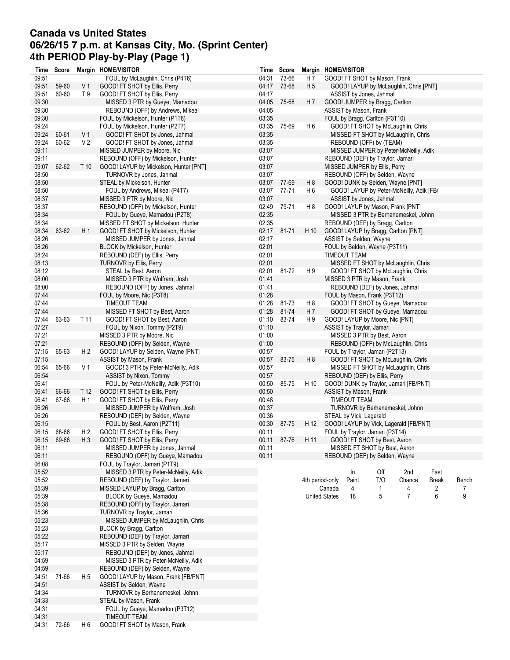# **Canada vs United States 06/26/15 7 p.m. at Kansas City, Mo. (Sprint Center) 4th PERIOD Play-by-Play (Page 1)**

| Time  | Score |                | Margin HOME/VISITOR                    |       | Time Score  |                 | Margin HOME/VISITOR  |                         |                               |                                                                                                                                                                                                                                                                                                                                                                                                                                                                                                                                                                                                                                                                                                                                                                                                                                                                                                                                                                                                                                                                                                                                                                                                                                                                                                                                                                                                                                                                                                                                                                        |  |  |
|-------|-------|----------------|----------------------------------------|-------|-------------|-----------------|----------------------|-------------------------|-------------------------------|------------------------------------------------------------------------------------------------------------------------------------------------------------------------------------------------------------------------------------------------------------------------------------------------------------------------------------------------------------------------------------------------------------------------------------------------------------------------------------------------------------------------------------------------------------------------------------------------------------------------------------------------------------------------------------------------------------------------------------------------------------------------------------------------------------------------------------------------------------------------------------------------------------------------------------------------------------------------------------------------------------------------------------------------------------------------------------------------------------------------------------------------------------------------------------------------------------------------------------------------------------------------------------------------------------------------------------------------------------------------------------------------------------------------------------------------------------------------------------------------------------------------------------------------------------------------|--|--|
| 09:51 |       |                | FOUL by McLaughlin, Chris (P4T6)       | 04:31 | 73-66       | H 7             |                      |                         | GOOD! FT SHOT by Mason, Frank |                                                                                                                                                                                                                                                                                                                                                                                                                                                                                                                                                                                                                                                                                                                                                                                                                                                                                                                                                                                                                                                                                                                                                                                                                                                                                                                                                                                                                                                                                                                                                                        |  |  |
| 09:51 | 59-60 | V <sub>1</sub> | GOOD! FT SHOT by Ellis, Perry          | 04:17 | 73-68       | H 5             |                      |                         |                               |                                                                                                                                                                                                                                                                                                                                                                                                                                                                                                                                                                                                                                                                                                                                                                                                                                                                                                                                                                                                                                                                                                                                                                                                                                                                                                                                                                                                                                                                                                                                                                        |  |  |
| 09:51 | 60-60 | T 9            | GOOD! FT SHOT by Ellis, Perry          | 04:17 |             |                 |                      |                         | ASSIST by Jones, Jahmal       |                                                                                                                                                                                                                                                                                                                                                                                                                                                                                                                                                                                                                                                                                                                                                                                                                                                                                                                                                                                                                                                                                                                                                                                                                                                                                                                                                                                                                                                                                                                                                                        |  |  |
| 09:30 |       |                | MISSED 3 PTR by Gueye, Mamadou         | 04:05 | 75-68       | H 7             |                      |                         |                               |                                                                                                                                                                                                                                                                                                                                                                                                                                                                                                                                                                                                                                                                                                                                                                                                                                                                                                                                                                                                                                                                                                                                                                                                                                                                                                                                                                                                                                                                                                                                                                        |  |  |
| 09:30 |       |                | REBOUND (OFF) by Andrews, Mikeal       | 04:05 |             |                 |                      | ASSIST by Mason, Frank  |                               |                                                                                                                                                                                                                                                                                                                                                                                                                                                                                                                                                                                                                                                                                                                                                                                                                                                                                                                                                                                                                                                                                                                                                                                                                                                                                                                                                                                                                                                                                                                                                                        |  |  |
| 09:30 |       |                | FOUL by Mickelson, Hunter (P1T6)       | 03:35 |             |                 |                      |                         |                               |                                                                                                                                                                                                                                                                                                                                                                                                                                                                                                                                                                                                                                                                                                                                                                                                                                                                                                                                                                                                                                                                                                                                                                                                                                                                                                                                                                                                                                                                                                                                                                        |  |  |
| 09:24 |       |                | FOUL by Mickelson, Hunter (P2T7)       | 03:35 | 75-69       | H 6             |                      |                         |                               |                                                                                                                                                                                                                                                                                                                                                                                                                                                                                                                                                                                                                                                                                                                                                                                                                                                                                                                                                                                                                                                                                                                                                                                                                                                                                                                                                                                                                                                                                                                                                                        |  |  |
|       |       |                |                                        |       |             |                 |                      |                         |                               |                                                                                                                                                                                                                                                                                                                                                                                                                                                                                                                                                                                                                                                                                                                                                                                                                                                                                                                                                                                                                                                                                                                                                                                                                                                                                                                                                                                                                                                                                                                                                                        |  |  |
| 09:24 | 60-61 | V <sub>1</sub> | GOOD! FT SHOT by Jones, Jahmal         | 03:35 |             |                 |                      |                         |                               |                                                                                                                                                                                                                                                                                                                                                                                                                                                                                                                                                                                                                                                                                                                                                                                                                                                                                                                                                                                                                                                                                                                                                                                                                                                                                                                                                                                                                                                                                                                                                                        |  |  |
| 09:24 | 60-62 | V <sub>2</sub> | GOOD! FT SHOT by Jones, Jahmal         | 03:35 |             |                 |                      |                         |                               |                                                                                                                                                                                                                                                                                                                                                                                                                                                                                                                                                                                                                                                                                                                                                                                                                                                                                                                                                                                                                                                                                                                                                                                                                                                                                                                                                                                                                                                                                                                                                                        |  |  |
| 09:11 |       |                | MISSED JUMPER by Moore, Nic            | 03:07 |             |                 |                      |                         |                               |                                                                                                                                                                                                                                                                                                                                                                                                                                                                                                                                                                                                                                                                                                                                                                                                                                                                                                                                                                                                                                                                                                                                                                                                                                                                                                                                                                                                                                                                                                                                                                        |  |  |
| 09:11 |       |                | REBOUND (OFF) by Mickelson, Hunter     | 03:07 |             |                 |                      |                         |                               |                                                                                                                                                                                                                                                                                                                                                                                                                                                                                                                                                                                                                                                                                                                                                                                                                                                                                                                                                                                                                                                                                                                                                                                                                                                                                                                                                                                                                                                                                                                                                                        |  |  |
| 09:07 | 62-62 | T 10           | GOOD! LAYUP by Mickelson, Hunter [PNT] | 03:07 |             |                 |                      |                         |                               |                                                                                                                                                                                                                                                                                                                                                                                                                                                                                                                                                                                                                                                                                                                                                                                                                                                                                                                                                                                                                                                                                                                                                                                                                                                                                                                                                                                                                                                                                                                                                                        |  |  |
| 08:50 |       |                | TURNOVR by Jones, Jahmal               | 03:07 |             |                 |                      |                         |                               |                                                                                                                                                                                                                                                                                                                                                                                                                                                                                                                                                                                                                                                                                                                                                                                                                                                                                                                                                                                                                                                                                                                                                                                                                                                                                                                                                                                                                                                                                                                                                                        |  |  |
| 08:50 |       |                | STEAL by Mickelson, Hunter             |       | 03:07 77-69 | H 8             |                      |                         |                               |                                                                                                                                                                                                                                                                                                                                                                                                                                                                                                                                                                                                                                                                                                                                                                                                                                                                                                                                                                                                                                                                                                                                                                                                                                                                                                                                                                                                                                                                                                                                                                        |  |  |
| 08:50 |       |                | FOUL by Andrews, Mikeal (P4T7)         | 03:07 | 77-71       | H <sub>6</sub>  |                      |                         |                               |                                                                                                                                                                                                                                                                                                                                                                                                                                                                                                                                                                                                                                                                                                                                                                                                                                                                                                                                                                                                                                                                                                                                                                                                                                                                                                                                                                                                                                                                                                                                                                        |  |  |
| 08:37 |       |                | MISSED 3 PTR by Moore, Nic             | 03:07 |             |                 |                      |                         |                               |                                                                                                                                                                                                                                                                                                                                                                                                                                                                                                                                                                                                                                                                                                                                                                                                                                                                                                                                                                                                                                                                                                                                                                                                                                                                                                                                                                                                                                                                                                                                                                        |  |  |
| 08:37 |       |                | REBOUND (OFF) by Mickelson, Hunter     | 02:49 | 79-71       | H8              |                      |                         |                               |                                                                                                                                                                                                                                                                                                                                                                                                                                                                                                                                                                                                                                                                                                                                                                                                                                                                                                                                                                                                                                                                                                                                                                                                                                                                                                                                                                                                                                                                                                                                                                        |  |  |
|       |       |                |                                        |       |             |                 |                      |                         |                               |                                                                                                                                                                                                                                                                                                                                                                                                                                                                                                                                                                                                                                                                                                                                                                                                                                                                                                                                                                                                                                                                                                                                                                                                                                                                                                                                                                                                                                                                                                                                                                        |  |  |
| 08:34 |       |                | FOUL by Gueye, Mamadou (P2T8)          | 02:35 |             |                 |                      |                         |                               |                                                                                                                                                                                                                                                                                                                                                                                                                                                                                                                                                                                                                                                                                                                                                                                                                                                                                                                                                                                                                                                                                                                                                                                                                                                                                                                                                                                                                                                                                                                                                                        |  |  |
| 08:34 |       |                | MISSED FT SHOT by Mickelson, Hunter    | 02:35 |             |                 |                      |                         |                               |                                                                                                                                                                                                                                                                                                                                                                                                                                                                                                                                                                                                                                                                                                                                                                                                                                                                                                                                                                                                                                                                                                                                                                                                                                                                                                                                                                                                                                                                                                                                                                        |  |  |
| 08:34 | 63-62 | H1             | GOOD! FT SHOT by Mickelson, Hunter     | 02:17 | 81-71       | H 10            |                      |                         |                               |                                                                                                                                                                                                                                                                                                                                                                                                                                                                                                                                                                                                                                                                                                                                                                                                                                                                                                                                                                                                                                                                                                                                                                                                                                                                                                                                                                                                                                                                                                                                                                        |  |  |
| 08:26 |       |                | MISSED JUMPER by Jones, Jahmal         | 02:17 |             |                 |                      |                         | ASSIST by Selden, Wayne       |                                                                                                                                                                                                                                                                                                                                                                                                                                                                                                                                                                                                                                                                                                                                                                                                                                                                                                                                                                                                                                                                                                                                                                                                                                                                                                                                                                                                                                                                                                                                                                        |  |  |
| 08:26 |       |                | BLOCK by Mickelson, Hunter             | 02:01 |             |                 |                      |                         |                               |                                                                                                                                                                                                                                                                                                                                                                                                                                                                                                                                                                                                                                                                                                                                                                                                                                                                                                                                                                                                                                                                                                                                                                                                                                                                                                                                                                                                                                                                                                                                                                        |  |  |
| 08:24 |       |                | REBOUND (DEF) by Ellis, Perry          | 02:01 |             |                 |                      | TIMEOUT TEAM            |                               |                                                                                                                                                                                                                                                                                                                                                                                                                                                                                                                                                                                                                                                                                                                                                                                                                                                                                                                                                                                                                                                                                                                                                                                                                                                                                                                                                                                                                                                                                                                                                                        |  |  |
| 08:13 |       |                | TURNOVR by Ellis, Perry                | 02:01 |             |                 |                      |                         |                               |                                                                                                                                                                                                                                                                                                                                                                                                                                                                                                                                                                                                                                                                                                                                                                                                                                                                                                                                                                                                                                                                                                                                                                                                                                                                                                                                                                                                                                                                                                                                                                        |  |  |
| 08:12 |       |                | STEAL by Best, Aaron                   | 02:01 | 81-72       | H9              |                      |                         |                               | GOOD! LAYUP by McLaughlin, Chris [PNT]<br>GOOD! JUMPER by Bragg, Carlton<br>FOUL by Bragg, Carlton (P3T10)<br>GOOD! FT SHOT by McLaughlin, Chris<br>MISSED FT SHOT by McLaughlin, Chris<br>REBOUND (OFF) by (TEAM)<br>MISSED JUMPER by Peter-McNeilly, Adik<br>REBOUND (DEF) by Traylor, Jamari<br>MISSED JUMPER by Ellis, Perry<br>REBOUND (OFF) by Selden, Wayne<br>GOOD! DUNK by Selden, Wayne [PNT]<br>GOOD! LAYUP by Peter-McNeilly, Adik [FB/<br>ASSIST by Jones, Jahmal<br>GOOD! LAYUP by Mason, Frank [PNT]<br>MISSED 3 PTR by Berhanemeskel, Johnn<br>REBOUND (DEF) by Bragg, Carlton<br>GOOD! LAYUP by Bragg, Carlton [PNT]<br>FOUL by Selden, Wayne (P3T11)<br>MISSED FT SHOT by McLaughlin, Chris<br>GOOD! FT SHOT by McLaughlin, Chris<br>MISSED 3 PTR by Mason, Frank<br>REBOUND (DEF) by Jones, Jahmal<br>FOUL by Mason, Frank (P3T12)<br>GOOD! FT SHOT by Gueye, Mamadou<br>GOOD! FT SHOT by Gueye, Mamadou<br>GOOD! LAYUP by Moore, Nic [PNT]<br>MISSED 3 PTR by Best, Aaron<br>REBOUND (OFF) by McLaughlin, Chris<br>FOUL by Traylor, Jamari (P2T13)<br>GOOD! FT SHOT by McLaughlin, Chris<br>MISSED FT SHOT by McLaughlin, Chris<br>REBOUND (DEF) by Ellis, Perry<br>GOOD! DUNK by Traylor, Jamari [FB/PNT]<br>TURNOVR by Berhanemeskel, Johnn<br>GOOD! LAYUP by Vick, Lagerald [FB/PNT]<br>FOUL by Traylor, Jamari (P3T14)<br>GOOD! FT SHOT by Best, Aaron<br>MISSED FT SHOT by Best, Aaron<br>REBOUND (DEF) by Selden, Wayne<br>Off<br>2nd<br>Fast<br>T/O<br>Chance<br><b>Break</b><br>Bench<br>2<br>1<br>4<br>7<br>$\overline{7}$<br>5<br>6<br>9 |  |  |
| 08:00 |       |                |                                        | 01:41 |             |                 |                      |                         |                               |                                                                                                                                                                                                                                                                                                                                                                                                                                                                                                                                                                                                                                                                                                                                                                                                                                                                                                                                                                                                                                                                                                                                                                                                                                                                                                                                                                                                                                                                                                                                                                        |  |  |
|       |       |                | MISSED 3 PTR by Wolfram, Josh          |       |             |                 |                      |                         |                               |                                                                                                                                                                                                                                                                                                                                                                                                                                                                                                                                                                                                                                                                                                                                                                                                                                                                                                                                                                                                                                                                                                                                                                                                                                                                                                                                                                                                                                                                                                                                                                        |  |  |
| 08:00 |       |                | REBOUND (OFF) by Jones, Jahmal         | 01:41 |             |                 |                      |                         |                               |                                                                                                                                                                                                                                                                                                                                                                                                                                                                                                                                                                                                                                                                                                                                                                                                                                                                                                                                                                                                                                                                                                                                                                                                                                                                                                                                                                                                                                                                                                                                                                        |  |  |
| 07:44 |       |                | FOUL by Moore, Nic (P3T8)              | 01:28 |             |                 |                      |                         |                               |                                                                                                                                                                                                                                                                                                                                                                                                                                                                                                                                                                                                                                                                                                                                                                                                                                                                                                                                                                                                                                                                                                                                                                                                                                                                                                                                                                                                                                                                                                                                                                        |  |  |
| 07:44 |       |                | <b>TIMEOUT TEAM</b>                    | 01:28 | 81-73       | H <sub>8</sub>  |                      |                         |                               |                                                                                                                                                                                                                                                                                                                                                                                                                                                                                                                                                                                                                                                                                                                                                                                                                                                                                                                                                                                                                                                                                                                                                                                                                                                                                                                                                                                                                                                                                                                                                                        |  |  |
| 07:44 |       |                | MISSED FT SHOT by Best, Aaron          | 01:28 | 81-74       | H 7             |                      |                         |                               |                                                                                                                                                                                                                                                                                                                                                                                                                                                                                                                                                                                                                                                                                                                                                                                                                                                                                                                                                                                                                                                                                                                                                                                                                                                                                                                                                                                                                                                                                                                                                                        |  |  |
| 07:44 | 63-63 | T 11           | GOOD! FT SHOT by Best, Aaron           | 01:10 | 83-74       | H9              |                      |                         |                               |                                                                                                                                                                                                                                                                                                                                                                                                                                                                                                                                                                                                                                                                                                                                                                                                                                                                                                                                                                                                                                                                                                                                                                                                                                                                                                                                                                                                                                                                                                                                                                        |  |  |
| 07:27 |       |                | FOUL by Nixon, Tommy (P2T9)            | 01:10 |             |                 |                      |                         | ASSIST by Traylor, Jamari     |                                                                                                                                                                                                                                                                                                                                                                                                                                                                                                                                                                                                                                                                                                                                                                                                                                                                                                                                                                                                                                                                                                                                                                                                                                                                                                                                                                                                                                                                                                                                                                        |  |  |
| 07:21 |       |                | MISSED 3 PTR by Moore, Nic             | 01:00 |             |                 |                      |                         |                               |                                                                                                                                                                                                                                                                                                                                                                                                                                                                                                                                                                                                                                                                                                                                                                                                                                                                                                                                                                                                                                                                                                                                                                                                                                                                                                                                                                                                                                                                                                                                                                        |  |  |
| 07:21 |       |                | REBOUND (OFF) by Selden, Wayne         | 01:00 |             |                 |                      |                         |                               |                                                                                                                                                                                                                                                                                                                                                                                                                                                                                                                                                                                                                                                                                                                                                                                                                                                                                                                                                                                                                                                                                                                                                                                                                                                                                                                                                                                                                                                                                                                                                                        |  |  |
| 07:15 | 65-63 | H <sub>2</sub> | GOOD! LAYUP by Selden, Wayne [PNT]     | 00:57 |             |                 |                      |                         |                               |                                                                                                                                                                                                                                                                                                                                                                                                                                                                                                                                                                                                                                                                                                                                                                                                                                                                                                                                                                                                                                                                                                                                                                                                                                                                                                                                                                                                                                                                                                                                                                        |  |  |
|       |       |                |                                        |       |             |                 |                      |                         |                               |                                                                                                                                                                                                                                                                                                                                                                                                                                                                                                                                                                                                                                                                                                                                                                                                                                                                                                                                                                                                                                                                                                                                                                                                                                                                                                                                                                                                                                                                                                                                                                        |  |  |
| 07:15 |       |                | ASSIST by Mason, Frank                 | 00:57 | 83-75       | H <sub>8</sub>  |                      |                         |                               |                                                                                                                                                                                                                                                                                                                                                                                                                                                                                                                                                                                                                                                                                                                                                                                                                                                                                                                                                                                                                                                                                                                                                                                                                                                                                                                                                                                                                                                                                                                                                                        |  |  |
| 06:54 | 65-66 | V 1            | GOOD! 3 PTR by Peter-McNeilly, Adik    | 00:57 |             |                 |                      |                         |                               |                                                                                                                                                                                                                                                                                                                                                                                                                                                                                                                                                                                                                                                                                                                                                                                                                                                                                                                                                                                                                                                                                                                                                                                                                                                                                                                                                                                                                                                                                                                                                                        |  |  |
| 06:54 |       |                | ASSIST by Nixon, Tommy                 | 00:57 |             |                 |                      |                         |                               |                                                                                                                                                                                                                                                                                                                                                                                                                                                                                                                                                                                                                                                                                                                                                                                                                                                                                                                                                                                                                                                                                                                                                                                                                                                                                                                                                                                                                                                                                                                                                                        |  |  |
| 06:41 |       |                | FOUL by Peter-McNeilly, Adik (P3T10)   | 00:50 | 85-75       | H 10            |                      |                         |                               |                                                                                                                                                                                                                                                                                                                                                                                                                                                                                                                                                                                                                                                                                                                                                                                                                                                                                                                                                                                                                                                                                                                                                                                                                                                                                                                                                                                                                                                                                                                                                                        |  |  |
| 06:41 | 66-66 | T 12           | GOOD! FT SHOT by Ellis, Perry          | 00:50 |             |                 |                      | ASSIST by Mason, Frank  |                               |                                                                                                                                                                                                                                                                                                                                                                                                                                                                                                                                                                                                                                                                                                                                                                                                                                                                                                                                                                                                                                                                                                                                                                                                                                                                                                                                                                                                                                                                                                                                                                        |  |  |
| 06:41 | 67-66 | H 1            | GOOD! FT SHOT by Ellis, Perry          | 00:48 |             |                 |                      | TIMEOUT TEAM            |                               |                                                                                                                                                                                                                                                                                                                                                                                                                                                                                                                                                                                                                                                                                                                                                                                                                                                                                                                                                                                                                                                                                                                                                                                                                                                                                                                                                                                                                                                                                                                                                                        |  |  |
| 06:26 |       |                | MISSED JUMPER by Wolfram, Josh         | 00:37 |             |                 |                      |                         |                               |                                                                                                                                                                                                                                                                                                                                                                                                                                                                                                                                                                                                                                                                                                                                                                                                                                                                                                                                                                                                                                                                                                                                                                                                                                                                                                                                                                                                                                                                                                                                                                        |  |  |
| 06:26 |       |                | REBOUND (DEF) by Selden, Wayne         | 00:36 |             |                 |                      | STEAL by Vick, Lagerald |                               |                                                                                                                                                                                                                                                                                                                                                                                                                                                                                                                                                                                                                                                                                                                                                                                                                                                                                                                                                                                                                                                                                                                                                                                                                                                                                                                                                                                                                                                                                                                                                                        |  |  |
| 06:15 |       |                | FOUL by Best, Aaron (P2T11)            |       | 00:30 87-75 | H 12            |                      |                         |                               |                                                                                                                                                                                                                                                                                                                                                                                                                                                                                                                                                                                                                                                                                                                                                                                                                                                                                                                                                                                                                                                                                                                                                                                                                                                                                                                                                                                                                                                                                                                                                                        |  |  |
|       |       |                |                                        |       |             |                 |                      |                         |                               |                                                                                                                                                                                                                                                                                                                                                                                                                                                                                                                                                                                                                                                                                                                                                                                                                                                                                                                                                                                                                                                                                                                                                                                                                                                                                                                                                                                                                                                                                                                                                                        |  |  |
| 06:15 | 68-66 | H <sub>2</sub> | GOOD! FT SHOT by Ellis, Perry          | 00:11 |             |                 |                      |                         |                               |                                                                                                                                                                                                                                                                                                                                                                                                                                                                                                                                                                                                                                                                                                                                                                                                                                                                                                                                                                                                                                                                                                                                                                                                                                                                                                                                                                                                                                                                                                                                                                        |  |  |
| 06:15 | 69-66 | H3             | GOOD! FT SHOT by Ellis, Perry          |       | 00:11 87-76 | H 11            |                      |                         |                               |                                                                                                                                                                                                                                                                                                                                                                                                                                                                                                                                                                                                                                                                                                                                                                                                                                                                                                                                                                                                                                                                                                                                                                                                                                                                                                                                                                                                                                                                                                                                                                        |  |  |
| 06:11 |       |                | MISSED JUMPER by Jones, Jahmal         | 00:11 |             |                 |                      |                         |                               |                                                                                                                                                                                                                                                                                                                                                                                                                                                                                                                                                                                                                                                                                                                                                                                                                                                                                                                                                                                                                                                                                                                                                                                                                                                                                                                                                                                                                                                                                                                                                                        |  |  |
| 06:11 |       |                | REBOUND (OFF) by Gueye, Mamadou        | 00:11 |             |                 |                      |                         |                               |                                                                                                                                                                                                                                                                                                                                                                                                                                                                                                                                                                                                                                                                                                                                                                                                                                                                                                                                                                                                                                                                                                                                                                                                                                                                                                                                                                                                                                                                                                                                                                        |  |  |
| 06:08 |       |                | FOUL by Traylor, Jamari (P1T9)         |       |             |                 |                      |                         |                               |                                                                                                                                                                                                                                                                                                                                                                                                                                                                                                                                                                                                                                                                                                                                                                                                                                                                                                                                                                                                                                                                                                                                                                                                                                                                                                                                                                                                                                                                                                                                                                        |  |  |
| 05:52 |       |                | MISSED 3 PTR by Peter-McNeilly, Adik   |       |             |                 |                      | In                      |                               |                                                                                                                                                                                                                                                                                                                                                                                                                                                                                                                                                                                                                                                                                                                                                                                                                                                                                                                                                                                                                                                                                                                                                                                                                                                                                                                                                                                                                                                                                                                                                                        |  |  |
| 05:52 |       |                | REBOUND (DEF) by Traylor, Jamari       |       |             | 4th period-only |                      | Paint                   |                               |                                                                                                                                                                                                                                                                                                                                                                                                                                                                                                                                                                                                                                                                                                                                                                                                                                                                                                                                                                                                                                                                                                                                                                                                                                                                                                                                                                                                                                                                                                                                                                        |  |  |
| 05:39 |       |                | MISSED LAYUP by Bragg, Carlton         |       |             |                 | Canada               | 4                       |                               |                                                                                                                                                                                                                                                                                                                                                                                                                                                                                                                                                                                                                                                                                                                                                                                                                                                                                                                                                                                                                                                                                                                                                                                                                                                                                                                                                                                                                                                                                                                                                                        |  |  |
| 05:39 |       |                | BLOCK by Gueye, Mamadou                |       |             |                 | <b>United States</b> | 18                      |                               |                                                                                                                                                                                                                                                                                                                                                                                                                                                                                                                                                                                                                                                                                                                                                                                                                                                                                                                                                                                                                                                                                                                                                                                                                                                                                                                                                                                                                                                                                                                                                                        |  |  |
| 05:38 |       |                | REBOUND (OFF) by Traylor, Jamari       |       |             |                 |                      |                         |                               |                                                                                                                                                                                                                                                                                                                                                                                                                                                                                                                                                                                                                                                                                                                                                                                                                                                                                                                                                                                                                                                                                                                                                                                                                                                                                                                                                                                                                                                                                                                                                                        |  |  |
|       |       |                |                                        |       |             |                 |                      |                         |                               |                                                                                                                                                                                                                                                                                                                                                                                                                                                                                                                                                                                                                                                                                                                                                                                                                                                                                                                                                                                                                                                                                                                                                                                                                                                                                                                                                                                                                                                                                                                                                                        |  |  |
| 05:36 |       |                | TURNOVR by Traylor, Jamari             |       |             |                 |                      |                         |                               |                                                                                                                                                                                                                                                                                                                                                                                                                                                                                                                                                                                                                                                                                                                                                                                                                                                                                                                                                                                                                                                                                                                                                                                                                                                                                                                                                                                                                                                                                                                                                                        |  |  |
| 05:23 |       |                | MISSED JUMPER by McLaughlin, Chris     |       |             |                 |                      |                         |                               |                                                                                                                                                                                                                                                                                                                                                                                                                                                                                                                                                                                                                                                                                                                                                                                                                                                                                                                                                                                                                                                                                                                                                                                                                                                                                                                                                                                                                                                                                                                                                                        |  |  |
| 05:23 |       |                | BLOCK by Bragg, Carlton                |       |             |                 |                      |                         |                               |                                                                                                                                                                                                                                                                                                                                                                                                                                                                                                                                                                                                                                                                                                                                                                                                                                                                                                                                                                                                                                                                                                                                                                                                                                                                                                                                                                                                                                                                                                                                                                        |  |  |
| 05:22 |       |                | REBOUND (DEF) by Traylor, Jamari       |       |             |                 |                      |                         |                               |                                                                                                                                                                                                                                                                                                                                                                                                                                                                                                                                                                                                                                                                                                                                                                                                                                                                                                                                                                                                                                                                                                                                                                                                                                                                                                                                                                                                                                                                                                                                                                        |  |  |
| 05:17 |       |                | MISSED 3 PTR by Selden, Wayne          |       |             |                 |                      |                         |                               |                                                                                                                                                                                                                                                                                                                                                                                                                                                                                                                                                                                                                                                                                                                                                                                                                                                                                                                                                                                                                                                                                                                                                                                                                                                                                                                                                                                                                                                                                                                                                                        |  |  |
| 05:17 |       |                | REBOUND (DEF) by Jones, Jahmal         |       |             |                 |                      |                         |                               |                                                                                                                                                                                                                                                                                                                                                                                                                                                                                                                                                                                                                                                                                                                                                                                                                                                                                                                                                                                                                                                                                                                                                                                                                                                                                                                                                                                                                                                                                                                                                                        |  |  |
| 04:59 |       |                | MISSED 3 PTR by Peter-McNeilly, Adik   |       |             |                 |                      |                         |                               |                                                                                                                                                                                                                                                                                                                                                                                                                                                                                                                                                                                                                                                                                                                                                                                                                                                                                                                                                                                                                                                                                                                                                                                                                                                                                                                                                                                                                                                                                                                                                                        |  |  |
| 04:59 |       |                | REBOUND (DEF) by Selden, Wayne         |       |             |                 |                      |                         |                               |                                                                                                                                                                                                                                                                                                                                                                                                                                                                                                                                                                                                                                                                                                                                                                                                                                                                                                                                                                                                                                                                                                                                                                                                                                                                                                                                                                                                                                                                                                                                                                        |  |  |
| 04:51 | 71-66 | H 5            | GOOD! LAYUP by Mason, Frank [FB/PNT]   |       |             |                 |                      |                         |                               |                                                                                                                                                                                                                                                                                                                                                                                                                                                                                                                                                                                                                                                                                                                                                                                                                                                                                                                                                                                                                                                                                                                                                                                                                                                                                                                                                                                                                                                                                                                                                                        |  |  |
|       |       |                |                                        |       |             |                 |                      |                         |                               |                                                                                                                                                                                                                                                                                                                                                                                                                                                                                                                                                                                                                                                                                                                                                                                                                                                                                                                                                                                                                                                                                                                                                                                                                                                                                                                                                                                                                                                                                                                                                                        |  |  |
| 04:51 |       |                | ASSIST by Selden, Wayne                |       |             |                 |                      |                         |                               |                                                                                                                                                                                                                                                                                                                                                                                                                                                                                                                                                                                                                                                                                                                                                                                                                                                                                                                                                                                                                                                                                                                                                                                                                                                                                                                                                                                                                                                                                                                                                                        |  |  |
| 04:34 |       |                | TURNOVR by Berhanemeskel, Johnn        |       |             |                 |                      |                         |                               |                                                                                                                                                                                                                                                                                                                                                                                                                                                                                                                                                                                                                                                                                                                                                                                                                                                                                                                                                                                                                                                                                                                                                                                                                                                                                                                                                                                                                                                                                                                                                                        |  |  |
| 04:33 |       |                | STEAL by Mason, Frank                  |       |             |                 |                      |                         |                               |                                                                                                                                                                                                                                                                                                                                                                                                                                                                                                                                                                                                                                                                                                                                                                                                                                                                                                                                                                                                                                                                                                                                                                                                                                                                                                                                                                                                                                                                                                                                                                        |  |  |
| 04:31 |       |                | FOUL by Gueye, Mamadou (P3T12)         |       |             |                 |                      |                         |                               |                                                                                                                                                                                                                                                                                                                                                                                                                                                                                                                                                                                                                                                                                                                                                                                                                                                                                                                                                                                                                                                                                                                                                                                                                                                                                                                                                                                                                                                                                                                                                                        |  |  |
| 04:31 |       |                | <b>TIMEOUT TEAM</b>                    |       |             |                 |                      |                         |                               |                                                                                                                                                                                                                                                                                                                                                                                                                                                                                                                                                                                                                                                                                                                                                                                                                                                                                                                                                                                                                                                                                                                                                                                                                                                                                                                                                                                                                                                                                                                                                                        |  |  |
| 04:31 | 72-66 | H 6            | GOOD! FT SHOT by Mason, Frank          |       |             |                 |                      |                         |                               |                                                                                                                                                                                                                                                                                                                                                                                                                                                                                                                                                                                                                                                                                                                                                                                                                                                                                                                                                                                                                                                                                                                                                                                                                                                                                                                                                                                                                                                                                                                                                                        |  |  |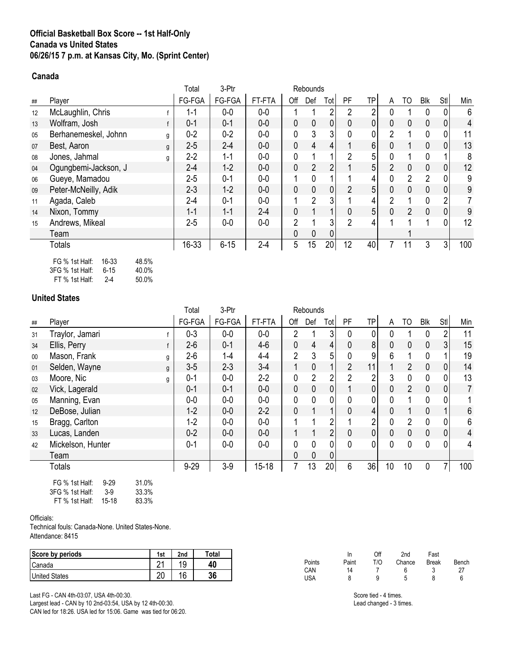# **Official Basketball Box Score -- 1st Half-Only Canada vs United States 06/26/15 7 p.m. at Kansas City, Mo. (Sprint Center)**

## **Canada**

|                                  | Total                                                    | 3-Ptr    |         |              |                |                 |                |                |                |                |              |                |     |
|----------------------------------|----------------------------------------------------------|----------|---------|--------------|----------------|-----------------|----------------|----------------|----------------|----------------|--------------|----------------|-----|
| Player                           | FG-FGA                                                   | FG-FGA   | FT-FTA  | Off          | Def            | Tot             | <b>PF</b>      | <b>TP</b>      | A              | TO             | <b>Blk</b>   | Stl            | Min |
| McLaughlin, Chris                | 1-1                                                      | $0-0$    | $0-0$   |              |                | 2               | 2              | 2              |                |                | 0            | 0              | 6   |
| Wolfram, Josh                    | $0 - 1$                                                  | $0 - 1$  | $0-0$   | $\mathbf 0$  | 0              | 0               | 0              | 0              | 0              | 0              | 0            | $\mathbf 0$    | 4   |
| Berhanemeskel, Johnn<br>g        | $0 - 2$                                                  | $0 - 2$  | $0-0$   | 0            | 3              | 3               | 0              | 0              | 2              |                | 0            | 0              | 11  |
| Best, Aaron                      | $2 - 5$                                                  | $2 - 4$  | $0 - 0$ | 0            | $\overline{4}$ | 4               |                | 6 <sup>1</sup> | 0              |                | $\Omega$     | $\mathbf 0$    | 13  |
| Jones, Jahmal<br>g               | $2-2$                                                    | $1 - 1$  | $0-0$   | 0            |                |                 | $\overline{2}$ | 5              |                |                | 0            | 1              | 8   |
| Ogungbemi-Jackson, J             | $2 - 4$                                                  | $1 - 2$  | $0 - 0$ | 0            | $\overline{2}$ | 2               |                | 5 <sup>1</sup> | $\overline{2}$ | 0              | 0            | $\mathbf 0$    | 12  |
| Gueye, Mamadou                   | $2 - 5$                                                  | $0 - 1$  | $0-0$   |              | 0              |                 |                | 4              |                | $\overline{2}$ | 2            | 0              | 9   |
| Peter-McNeilly, Adik             | $2 - 3$                                                  | $1 - 2$  | $0 - 0$ | 0            | $\mathbf 0$    | 0               | $\overline{2}$ | 5              | 0              | 0              | $\Omega$     | $\mathbf 0$    | 9   |
| Agada, Caleb                     | $2 - 4$                                                  | $0 - 1$  | $0-0$   |              | 2              | 3               |                | 4              | 2              |                | 0            | $\overline{2}$ |     |
| Nixon, Tommy                     | $1 - 1$                                                  | $1 - 1$  | $2 - 4$ | $\mathbf{0}$ |                |                 | 0              | 5              | 0              | $\overline{2}$ | $\mathbf{0}$ | $\mathbf 0$    | 9   |
| Andrews, Mikeal                  | $2 - 5$                                                  | $0-0$    | $0-0$   | 2            |                | 3               | $\overline{2}$ | 4              |                |                |              | 0              | 12  |
| Team                             |                                                          |          |         | $\mathbf 0$  | 0              | 0               |                |                |                |                |              |                |     |
| <b>Totals</b>                    | 16-33                                                    | $6 - 15$ | $2 - 4$ | 5            | 15             | 20 <sup>1</sup> | 12             | 40             | 7              | 11             | 3            | 3 <sup>1</sup> | 100 |
| 16-33<br>48.5%<br>FG % 1st Half: |                                                          |          |         |              |                |                 |                |                |                |                |              |                |     |
|                                  | g<br>$2\Gamma\cap 0$ $4\sim$ Helf.<br>10.001<br>$C$ $4E$ |          |         |              |                |                 | Rebounds       |                |                |                |              |                |     |

3FG % 1st Half: 6-15 40.0% FT % 1st Half:

### **United States**

|    |                                     | Total        | 3-Ptr   |           |                | Rebounds       |                |                |                |          |                |              |                |     |
|----|-------------------------------------|--------------|---------|-----------|----------------|----------------|----------------|----------------|----------------|----------|----------------|--------------|----------------|-----|
| ## | Player                              | FG-FGA       | FG-FGA  | FT-FTA    | Off            | Def            | Tot            | PF             | <b>TP</b>      | A        | TO             | Blk          | Stl            | Min |
| 31 | Traylor, Jamari                     | $0 - 3$      | $0-0$   | $0-0$     | 2              |                | 3              | 0              | 0              |          |                | 0            | $\overline{2}$ | 11  |
| 34 | Ellis, Perry                        | $2 - 6$      | $0 - 1$ | $4-6$     | $\mathbf{0}$   | $\overline{4}$ | 4              | 0              | 8              | 0        | $\mathbf 0$    | $\mathbf 0$  | 3 <sup>1</sup> | 15  |
| 00 | Mason, Frank                        | $2 - 6$<br>g | $1 - 4$ | $4 - 4$   | $\overline{2}$ | 3              | 5              | 0              | 9              | 6        |                | 0            |                | 19  |
| 01 | Selden, Wayne                       | $3-5$<br>g   | $2 - 3$ | $3-4$     |                | $\mathbf 0$    |                | $\overline{2}$ | 11             |          | $\overline{2}$ | $\mathbf{0}$ | 0              | 14  |
| 03 | Moore, Nic<br>g                     | $0 - 1$      | $0-0$   | $2 - 2$   | 0              | $\overline{2}$ | 2              | $\overline{2}$ | $\overline{2}$ | 3        | 0              | $\Omega$     | 0              | 13  |
| 02 | Vick, Lagerald                      | $0 - 1$      | $0 - 1$ | $0-0$     | $\mathbf 0$    | $\mathbf{0}$   | 0              |                | $\overline{0}$ | 0        | $\overline{2}$ | $\mathbf{0}$ | 0              | 7   |
| 05 | Manning, Evan                       | $0-0$        | $0-0$   | $0-0$     | 0              | 0              | 0              | 0              | 0              | N        |                | 0            | 0              |     |
| 12 | DeBose, Julian                      | $1 - 2$      | $0-0$   | $2 - 2$   | $\mathbf{0}$   |                |                | 0              | 4              | 0        |                | $\mathbf{0}$ | 1              | 6   |
| 15 | Bragg, Carlton                      | $1 - 2$      | $0-0$   | $0-0$     |                |                | 2              |                | 2              | 0        | $\overline{2}$ | $\Omega$     | 0              | 6   |
| 33 | Lucas, Landen                       | $0 - 2$      | $0-0$   | $0-0$     |                |                | $\overline{2}$ | 0              | 0              | $\Omega$ | 0              | $\mathbf{0}$ | 0              | 4   |
| 42 | Mickelson, Hunter                   | $0 - 1$      | $0-0$   | $0-0$     | $\mathbf{0}$   | $\mathbf 0$    | 0              | $\mathbf{0}$   | 0              | 0        | 0              | $\Omega$     | 0              | 4   |
|    | Team                                |              |         |           | 0              | $\mathbf 0$    |                |                |                |          |                |              |                |     |
|    | <b>Totals</b>                       | $9 - 29$     | $3-9$   | $15 - 18$ | 7              | 13             | 20             | 6              | 36             | 10       | 10             | $\mathbf 0$  | 7              | 100 |
|    | FG % 1st Half:<br>31.0%<br>$9 - 29$ |              |         |           |                |                |                |                |                |          |                |              |                |     |

| 3FG % 1st Half: | $3-9$ | 33.3% |
|-----------------|-------|-------|
| FT % 1st Half:  | 15-18 | 83.3% |

#### Officials:

Technical fouls: Canada-None. United States-None. Attendance: 8415

| Score by periods     | 1st          | 2nd     | <b>Total</b> |
|----------------------|--------------|---------|--------------|
| Canada               | $\mathbf{A}$ | 10<br>ت | 40           |
| <b>United States</b> | ററ<br>zu     | 16      | 36           |

Last FG - CAN 4th-03:07, USA 4th-00:30. Largest lead - CAN by 10 2nd-03:54, USA by 12 4th-00:30. CAN led for 18:26. USA led for 15:06. Game was tied for 06:20.

In Off 2nd Fast Points Paint T/O Chance Break Bench<br>CAN 14 7 6 3 27 CAN 14 7 6 3 27 USA 8 9 5 8 6

> Score tied - 4 times. Lead changed - 3 times.